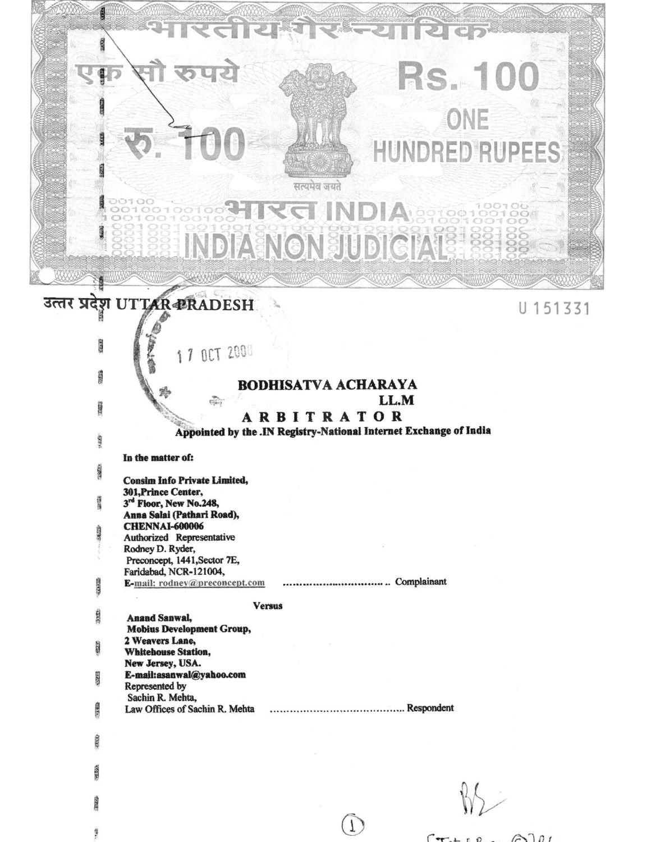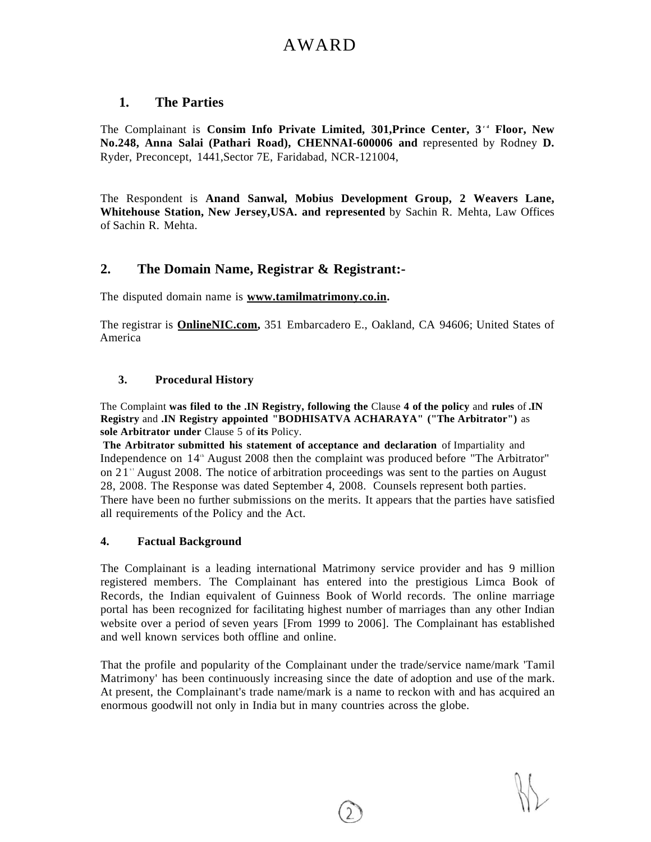# AWARD

# **1. The Parties**

The Complainant is Consim Info Private Limited, 301, Prince Center, 3<sup>*d*</sup> Floor, New **No.248, Anna Salai (Pathari Road), CHENNAI-600006 and** represented by Rodney **D.**  Ryder, Preconcept, 1441,Sector 7E, Faridabad, NCR-121004,

The Respondent is **Anand Sanwal, Mobius Development Group, 2 Weavers Lane, Whitehouse Station, New Jersey,USA. and represented** by Sachin R. Mehta, Law Offices of Sachin R. Mehta.

# **2. The Domain Name, Registrar & Registrant:-**

The disputed domain name is **[www.tamilmatrimony.co.in.](http://www.tamilmatrimony.co.in)** 

The registrar is **[OnlineNIC.com,](http://OnlineNIC.com)** 351 Embarcadero E., Oakland, CA 94606; United States of America

# **3. Procedural History**

The Complaint **was filed to the .IN Registry, following the** Clause **4 of the policy** and **rules** of **.IN Registry** and **.IN Registry appointed "BODHISATVA ACHARAYA" ("The Arbitrator")** as **sole Arbitrator under** Clause 5 of **its** Policy.

**The Arbitrator submitted his statement of acceptance and declaration** of Impartiality and Independence on 14<sup>th</sup> August 2008 then the complaint was produced before "The Arbitrator" on 21<sup>\*</sup> August 2008. The notice of arbitration proceedings was sent to the parties on August 28, 2008. The Response was dated September 4, 2008. Counsels represent both parties. There have been no further submissions on the merits. It appears that the parties have satisfied all requirements of the Policy and the Act.

## **4. Factual Background**

The Complainant is a leading international Matrimony service provider and has 9 million registered members. The Complainant has entered into the prestigious Limca Book of Records, the Indian equivalent of Guinness Book of World records. The online marriage portal has been recognized for facilitating highest number of marriages than any other Indian website over a period of seven years [From 1999 to 2006]. The Complainant has established and well known services both offline and online.

That the profile and popularity of the Complainant under the trade/service name/mark 'Tamil Matrimony' has been continuously increasing since the date of adoption and use of the mark. At present, the Complainant's trade name/mark is a name to reckon with and has acquired an enormous goodwill not only in India but in many countries across the globe.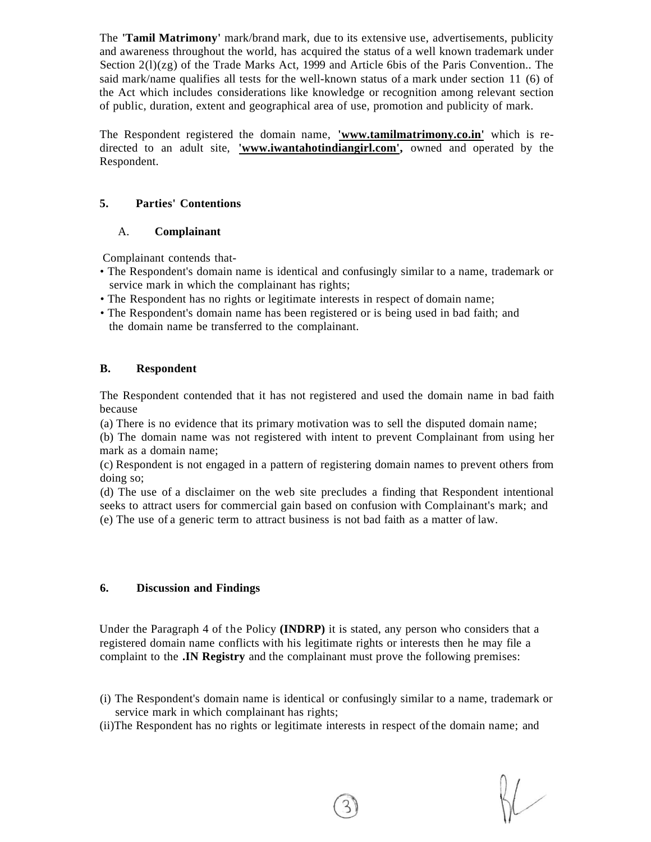The **'Tamil Matrimony'** mark/brand mark, due to its extensive use, advertisements, publicity and awareness throughout the world, has acquired the status of a well known trademark under Section  $2(1)(z)$  of the Trade Marks Act, 1999 and Article 6bis of the Paris Convention.. The said mark/name qualifies all tests for the well-known status of a mark under section 11 (6) of the Act which includes considerations like knowledge or recognition among relevant section of public, duration, extent and geographical area of use, promotion and publicity of mark.

The Respondent registered the domain name, **['www.tamilmatrimony.co.in'](http://)** which is redirected to an adult site, **['www.iwantahotindiangirl.com',](http://)** owned and operated by the Respondent.

## **5. Parties' Contentions**

# A. **Complainant**

Complainant contends that-

- The Respondent's domain name is identical and confusingly similar to a name, trademark or service mark in which the complainant has rights;
- The Respondent has no rights or legitimate interests in respect of domain name;
- The Respondent's domain name has been registered or is being used in bad faith; and the domain name be transferred to the complainant.

# **B. Respondent**

The Respondent contended that it has not registered and used the domain name in bad faith because

(a) There is no evidence that its primary motivation was to sell the disputed domain name;

(b) The domain name was not registered with intent to prevent Complainant from using her mark as a domain name;

(c) Respondent is not engaged in a pattern of registering domain names to prevent others from doing so;

(d) The use of a disclaimer on the web site precludes a finding that Respondent intentional seeks to attract users for commercial gain based on confusion with Complainant's mark; and (e) The use of a generic term to attract business is not bad faith as a matter of law.

## **6. Discussion and Findings**

Under the Paragraph 4 of the Policy **(INDRP)** it is stated, any person who considers that a registered domain name conflicts with his legitimate rights or interests then he may file a complaint to the **.IN Registry** and the complainant must prove the following premises:

- (i) The Respondent's domain name is identical or confusingly similar to a name, trademark or service mark in which complainant has rights;
- (ii)The Respondent has no rights or legitimate interests in respect of the domain name; and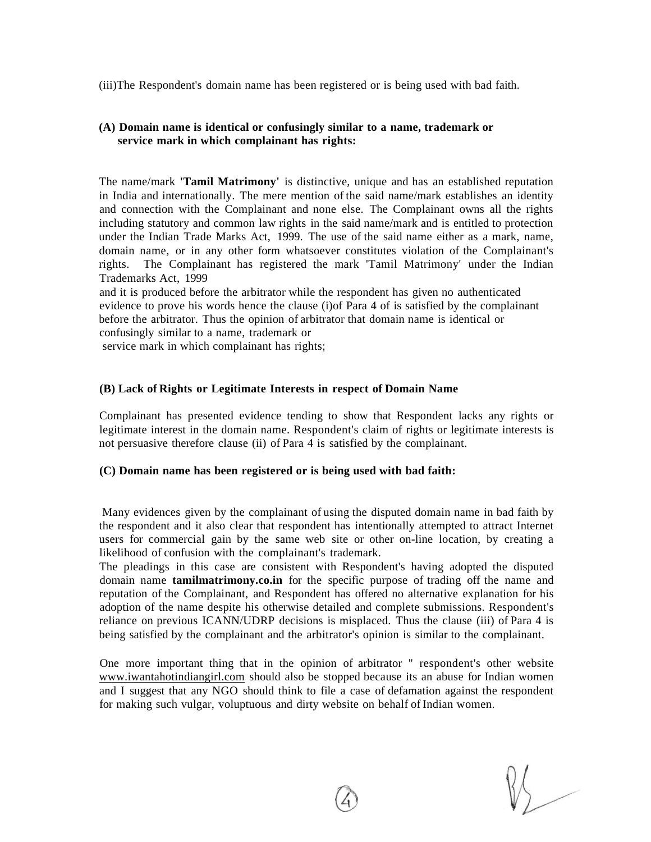(iii)The Respondent's domain name has been registered or is being used with bad faith.

#### **(A) Domain name is identical or confusingly similar to a name, trademark or service mark in which complainant has rights:**

The name/mark **'Tamil Matrimony'** is distinctive, unique and has an established reputation in India and internationally. The mere mention of the said name/mark establishes an identity and connection with the Complainant and none else. The Complainant owns all the rights including statutory and common law rights in the said name/mark and is entitled to protection under the Indian Trade Marks Act, 1999. The use of the said name either as a mark, name, domain name, or in any other form whatsoever constitutes violation of the Complainant's rights. The Complainant has registered the mark 'Tamil Matrimony' under the Indian Trademarks Act, 1999

and it is produced before the arbitrator while the respondent has given no authenticated evidence to prove his words hence the clause (i)of Para 4 of is satisfied by the complainant before the arbitrator. Thus the opinion of arbitrator that domain name is identical or confusingly similar to a name, trademark or

service mark in which complainant has rights;

#### **(B) Lack of Rights or Legitimate Interests in respect of Domain Name**

Complainant has presented evidence tending to show that Respondent lacks any rights or legitimate interest in the domain name. Respondent's claim of rights or legitimate interests is not persuasive therefore clause (ii) of Para 4 is satisfied by the complainant.

#### **(C) Domain name has been registered or is being used with bad faith:**

Many evidences given by the complainant of using the disputed domain name in bad faith by the respondent and it also clear that respondent has intentionally attempted to attract Internet users for commercial gain by the same web site or other on-line location, by creating a likelihood of confusion with the complainant's trademark.

The pleadings in this case are consistent with Respondent's having adopted the disputed domain name **tamilmatrimony.co.in** for the specific purpose of trading off the name and reputation of the Complainant, and Respondent has offered no alternative explanation for his adoption of the name despite his otherwise detailed and complete submissions. Respondent's reliance on previous ICANN/UDRP decisions is misplaced. Thus the clause (iii) of Para 4 is being satisfied by the complainant and the arbitrator's opinion is similar to the complainant.

One more important thing that in the opinion of arbitrator " respondent's other website [www.iwantahotindiangirl.com s](http://www.iwantahotindiangirl.com)hould also be stopped because its an abuse for Indian women and I suggest that any NGO should think to file a case of defamation against the respondent for making such vulgar, voluptuous and dirty website on behalf of Indian women.